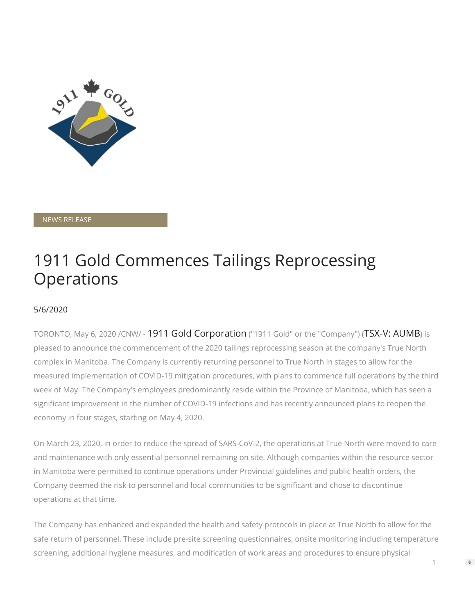

NEWS RELEASE

## 1911 Gold Commences Tailings Reprocessing **Operations**

## 5/6/2020

TORONTO, May 6, 2020 /CNW/ - 1911 Gold Corporation ("1911 Gold" or the "Company") (TSX-V: AUMB) is pleased to announce the commencement of the 2020 tailings reprocessing season at the company's True North complex in Manitoba. The Company is currently returning personnel to True North in stages to allow for the measured implementation of COVID-19 mitigation procedures, with plans to commence full operations by the third week of May. The Company's employees predominantly reside within the Province of Manitoba, which has seen a significant improvement in the number of COVID-19 infections and has recently announced plans to reopen the economy in four stages, starting on May 4, 2020.

On March 23, 2020, in order to reduce the spread of SARS-CoV-2, the operations at True North were moved to care and maintenance with only essential personnel remaining on site. Although companies within the resource sector in Manitoba were permitted to continue operations under Provincial guidelines and public health orders, the Company deemed the risk to personnel and local communities to be significant and chose to discontinue operations at that time.

The Company has enhanced and expanded the health and safety protocols in place at True North to allow for the safe return of personnel. These include pre-site screening questionnaires, onsite monitoring including temperature screening, additional hygiene measures, and modification of work areas and procedures to ensure physical

1

 $\Rightarrow$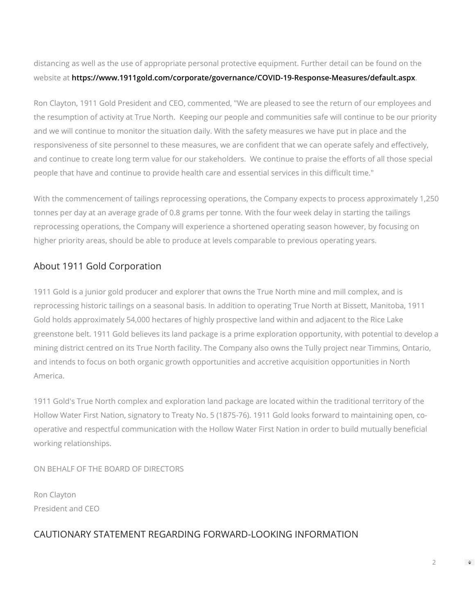distancing as well as the use of appropriate personal protective equipment. Further detail can be found on the website at **[https://www.1911gold.com/corporate/governance/COVID-19-Response-Measures/default.aspx](https://c212.net/c/link/?t=0&l=en&o=2796795-1&h=348366910&u=https%3A%2F%2Fwww.1911gold.com%2Fcorporate%2Fgovernance%2FCOVID-19-Response-Measures%2Fdefault.aspx&a=https%3A%2F%2Fwww.1911gold.com%2Fcorporate%2Fgovernance%2FCOVID-19-Response-Measures%2Fdefault.aspx)**.

Ron Clayton, 1911 Gold President and CEO, commented, "We are pleased to see the return of our employees and the resumption of activity at True North. Keeping our people and communities safe will continue to be our priority and we will continue to monitor the situation daily. With the safety measures we have put in place and the responsiveness of site personnel to these measures, we are confident that we can operate safely and effectively, and continue to create long term value for our stakeholders. We continue to praise the efforts of all those special people that have and continue to provide health care and essential services in this difficult time."

With the commencement of tailings reprocessing operations, the Company expects to process approximately 1,250 tonnes per day at an average grade of 0.8 grams per tonne. With the four week delay in starting the tailings reprocessing operations, the Company will experience a shortened operating season however, by focusing on higher priority areas, should be able to produce at levels comparable to previous operating years.

## About 1911 Gold Corporation

1911 Gold is a junior gold producer and explorer that owns the True North mine and mill complex, and is reprocessing historic tailings on a seasonal basis. In addition to operating True North at Bissett, Manitoba, 1911 Gold holds approximately 54,000 hectares of highly prospective land within and adjacent to the Rice Lake greenstone belt. 1911 Gold believes its land package is a prime exploration opportunity, with potential to develop a mining district centred on its True North facility. The Company also owns the Tully project near Timmins, Ontario, and intends to focus on both organic growth opportunities and accretive acquisition opportunities in North America.

1911 Gold's True North complex and exploration land package are located within the traditional territory of the Hollow Water First Nation, signatory to Treaty No. 5 (1875-76). 1911 Gold looks forward to maintaining open, cooperative and respectful communication with the Hollow Water First Nation in order to build mutually beneficial working relationships.

ON BEHALF OF THE BOARD OF DIRECTORS

Ron Clayton President and CEO

## CAUTIONARY STATEMENT REGARDING FORWARD-LOOKING INFORMATION

 $\mathfrak{D}$ 

 $\Rightarrow$